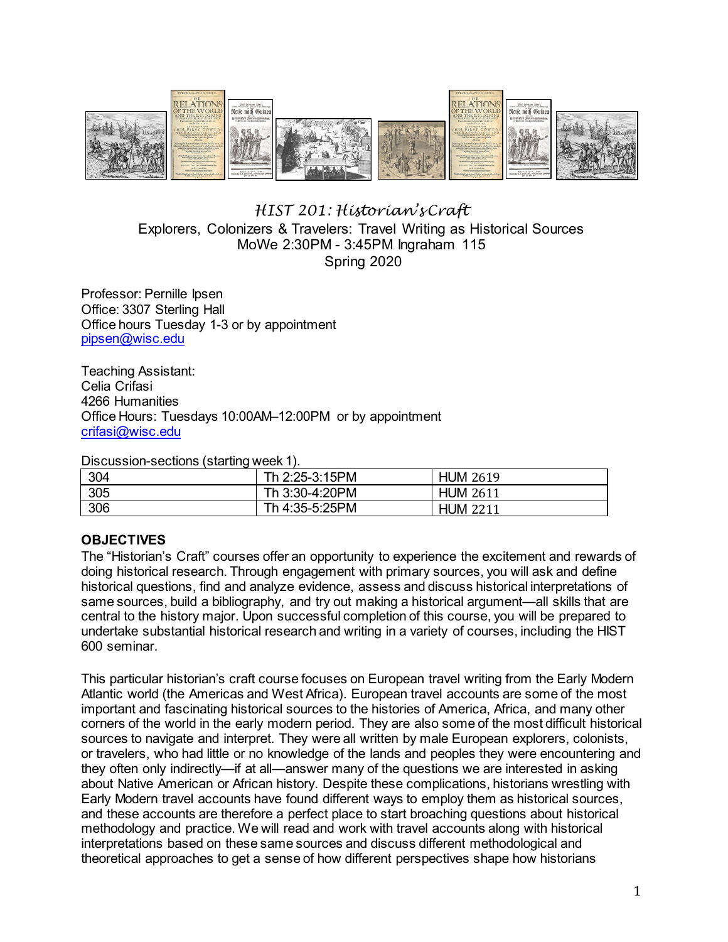

## *HIST 201: Historian's Craft*  Explorers, Colonizers & Travelers: Travel Writing as Historical Sources MoWe 2:30PM - 3:45PM Ingraham 115 Spring 2020

Professor: Pernille Ipsen Office: 3307 Sterling Hall Office hours Tuesday 1-3 or by appointment [pipsen@wisc.edu](mailto:pipsen@wisc.edu) 

Teaching Assistant: Celia Crifasi 4266 Humanities Office Hours: Tuesdays 10:00AM–12:00PM or by appointment [crifasi@wisc.edu](mailto:crifasi@wisc.edu)

Discussion-sections (starting week 1).

| 304 | Th 2:25-3:15PM | <b>HUM 2619</b> |
|-----|----------------|-----------------|
| 305 | Th 3:30-4:20PM | <b>HUM 2611</b> |
| 306 | Th 4:35-5:25PM | <b>HUM 2211</b> |

## **OBJECTIVES**

The "Historian's Craft" courses offer an opportunity to experience the excitement and rewards of doing historical research. Through engagement with primary sources, you will ask and define historical questions, find and analyze evidence, assess and discuss historical interpretations of same sources, build a bibliography, and try out making a historical argument—all skills that are central to the history major. Upon successful completion of this course, you will be prepared to undertake substantial historical research and writing in a variety of courses, including the HIST 600 seminar.

This particular historian's craft course focuses on European travel writing from the Early Modern Atlantic world (the Americas and West Africa). European travel accounts are some of the most important and fascinating historical sources to the histories of America, Africa, and many other corners of the world in the early modern period. They are also some of the most difficult historical sources to navigate and interpret. They were all written by male European explorers, colonists, or travelers, who had little or no knowledge of the lands and peoples they were encountering and they often only indirectly—if at all—answer many of the questions we are interested in asking about Native American or African history. Despite these complications, historians wrestling with Early Modern travel accounts have found different ways to employ them as historical sources, and these accounts are therefore a perfect place to start broaching questions about historical methodology and practice. We will read and work with travel accounts along with historical interpretations based on these same sources and discuss different methodological and theoretical approaches to get a sense of how different perspectives shape how historians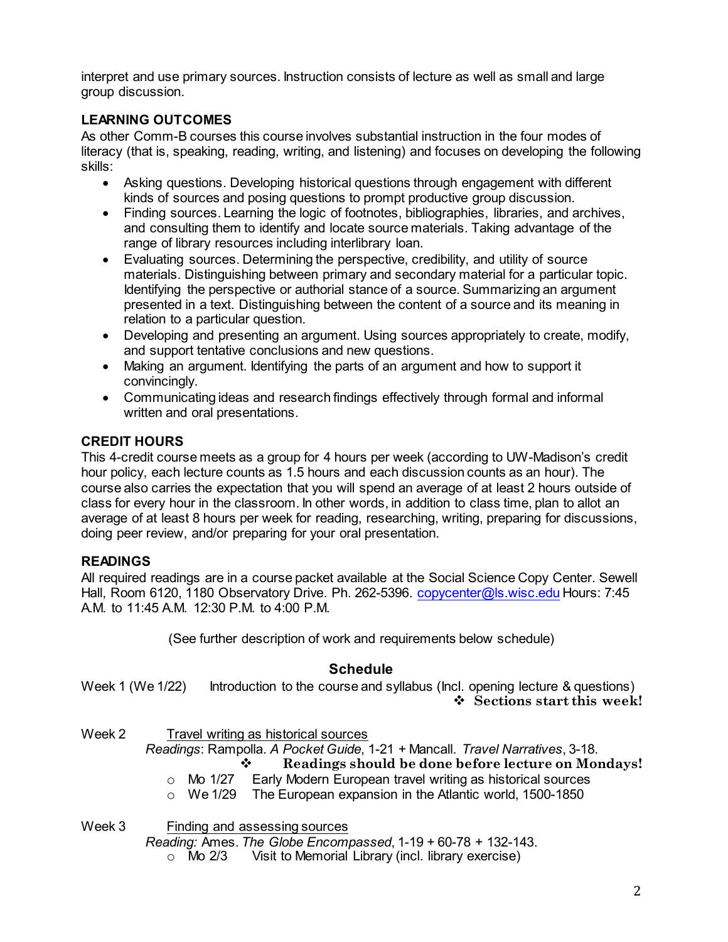interpret and use primary sources. Instruction consists of lecture as well as small and large group discussion.

## **LEARNING OUTCOMES**

As other Comm-B courses this course involves substantial instruction in the four modes of literacy (that is, speaking, reading, writing, and listening) and focuses on developing the following skills:

- Asking questions. Developing historical questions through engagement with different kinds of sources and posing questions to prompt productive group discussion.
- Finding sources. Learning the logic of footnotes, bibliographies, libraries, and archives, and consulting them to identify and locate source materials. Taking advantage of the range of library resources including interlibrary loan.
- Evaluating sources. Determining the perspective, credibility, and utility of source materials. Distinguishing between primary and secondary material for a particular topic. Identifying the perspective or authorial stance of a source. Summarizing an argument presented in a text. Distinguishing between the content of a source and its meaning in relation to a particular question.
- Developing and presenting an argument. Using sources appropriately to create, modify, and support tentative conclusions and new questions.
- Making an argument. Identifying the parts of an argument and how to support it convincingly.
- Communicating ideas and research findings effectively through formal and informal written and oral presentations.

## **CREDIT HOURS**

This 4-credit course meets as a group for 4 hours per week (according to UW-Madison's credit hour policy, each lecture counts as 1.5 hours and each discussion counts as an hour). The course also carries the expectation that you will spend an average of at least 2 hours outside of class for every hour in the classroom. In other words, in addition to class time, plan to allot an average of at least 8 hours per week for reading, researching, writing, preparing for discussions, doing peer review, and/or preparing for your oral presentation.

# **READINGS**

All required readings are in a course packet available at the Social Science Copy Center. Sewell Hall, Room 6120, 1180 Observatory Drive. Ph. 262-5396. [copycenter@ls.wisc.edu](mailto:copycenter@ls.wisc.edu) Hours: 7:45 A.M. to 11:45 A.M. 12:30 P.M. to 4:00 P.M.

(See further description of work and requirements below schedule)

# **Schedule**

Week 1 (We 1/22) Introduction to the course and syllabus (Incl. opening lecture & questions) **Sections start this week!**

Week 2 Travel writing as historical sources

*Readings*: Rampolla. *A Pocket Guide*, 1-21 + Mancall. *Travel Narratives*, 3-18.

**Readings should be done before lecture on Mondays!**

- o Mo 1/27 Early Modern European travel writing as historical sources
- o We 1/29 The European expansion in the Atlantic world, 1500-1850

Week 3 Finding and assessing sources

*Reading:* Ames. *The Globe Encompassed*, 1-19 + 60-78 + 132-143.

Visit to Memorial Library (incl. library exercise)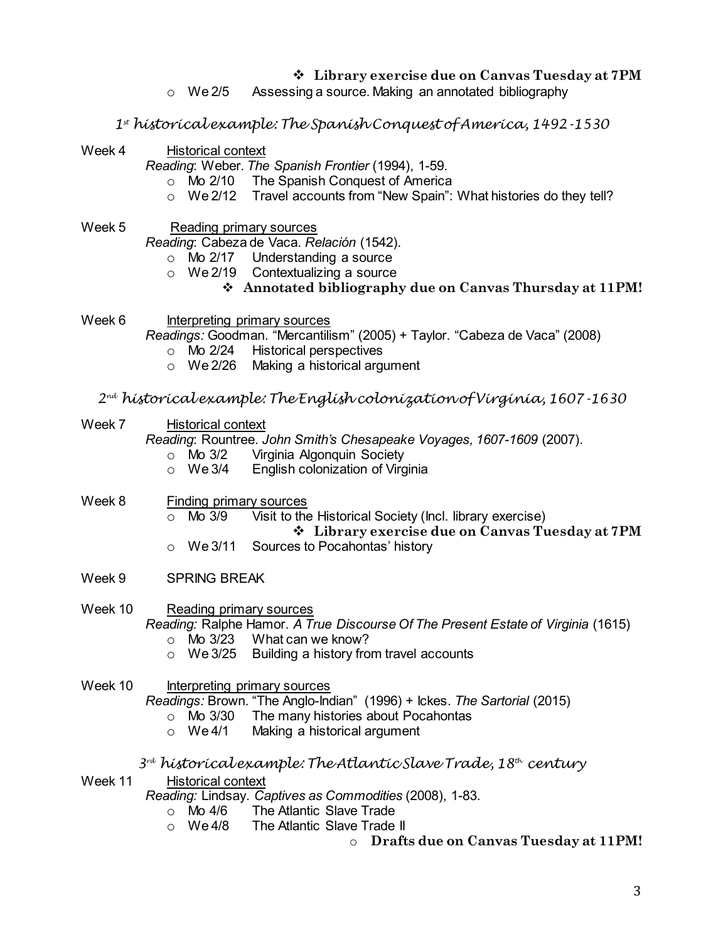- **Library exercise due on Canvas Tuesday at 7PM**
- o We 2/5 Assessing a source. Making an annotated bibliography
- *1st historical example: The Spanish Conquest of America, 1492-1530*
- Week 4 Historical context

*Reading*: Weber. *The Spanish Frontier* (1994), 1-59.

- o Mo 2/10 The Spanish Conquest of America
- o We 2/12 Travel accounts from "New Spain": What histories do they tell?
- Week 5 Reading primary sources

*Reading*: Cabeza de Vaca. *Relación* (1542).

- o Mo 2/17 Understanding a source
- o We 2/19 Contextualizing a source
	- **Annotated bibliography due on Canvas Thursday at 11PM!**
- Week 6 Interpreting primary sources

*Readings:* Goodman. "Mercantilism" (2005) + Taylor. "Cabeza de Vaca" (2008)

- o Mo 2/24 Historical perspectives
- o We 2/26 Making a historical argument
- *2nd historical example: The English colonization of Virginia, 1607-1630*
- Week 7 Historical context

*Reading*: Rountree. *John Smith's Chesapeake Voyages, 1607-1609* (2007).

- o Mo 3/2 Virginia Algonquin Society<br>○ We 3/4 English colonization of Virg
- **English colonization of Virginia**
- Week 8 Finding primary sources  $\circ$  Mo 3/9 Visit to the Historical Society (Incl. library exercise) **Library exercise due on Canvas Tuesday at 7PM**
	- o We 3/11 Sources to Pocahontas' history
- Week 9 SPRING BREAK

Week 10 Reading primary sources *Reading:* Ralphe Hamor. *A True Discourse Of The Present Estate of Virginia* (1615) o Mo 3/23 What can we know?

- o We 3/25 Building a history from travel accounts
- Week 10 Interpreting primary sources

*Readings:* Brown. "The Anglo-Indian" (1996) + Ickes. *The Sartorial* (2015)

- $\circ$  Mo 3/30 The many histories about Pocahontas<br> $\circ$  We 4/1 Making a historical argument
- Making a historical argument
- *3rd historical example: The Atlantic Slave Trade, 18th century*
- Week 11 Historical context

*Reading:* Lindsay. *Captives as Commodities* (2008), 1-83.

- $\circ$  Mo 4/6 The Atlantic Slave Trade<br> $\circ$  We 4/8 The Atlantic Slave Trade
- The Atlantic Slave Trade II

o **Drafts due on Canvas Tuesday at 11PM!**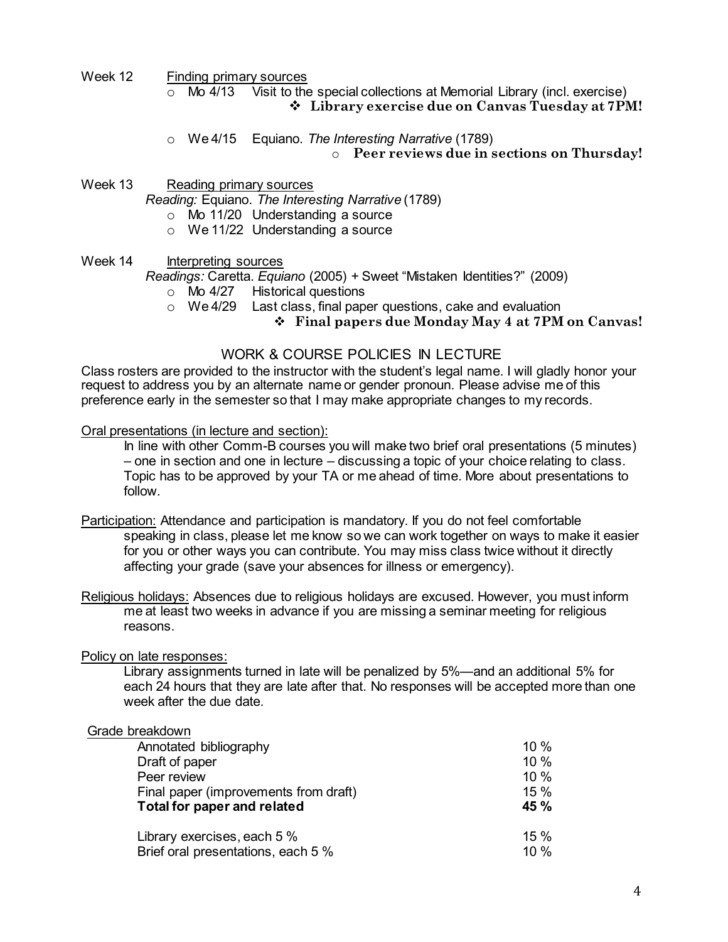Week 12 Finding primary sources

 $\circ$  Mo 4/13 Visit to the special collections at Memorial Library (incl. exercise) **Library exercise due on Canvas Tuesday at 7PM!**

|  | ○ We 4/15 Equiano. The Interesting Narrative (1789) |
|--|-----------------------------------------------------|
|  | • Peer reviews due in sections on Thursday!         |

Week 13 Reading primary sources *Reading:* Equiano. *The Interesting Narrative* (1789) o Mo 11/20 Understanding a source

- o We 11/22 Understanding a source
- Week 14 Interpreting sources

*Readings:* Caretta. *Equiano* (2005) + Sweet "Mistaken Identities?" (2009)

- $\circ$  Mo 4/27 Historical questions<br> $\circ$  We 4/29 Last class, final pape
	- Last class, final paper questions, cake and evaluation

**Final papers due Monday May 4 at 7PM on Canvas!**

### WORK & COURSE POLICIES IN LECTURE

Class rosters are provided to the instructor with the student's legal name. I will gladly honor your request to address you by an alternate name or gender pronoun. Please advise me of this preference early in the semester so that I may make appropriate changes to my records.

Oral presentations (in lecture and section):

In line with other Comm-B courses you will make two brief oral presentations (5 minutes) – one in section and one in lecture – discussing a topic of your choice relating to class. Topic has to be approved by your TA or me ahead of time. More about presentations to follow.

Participation: Attendance and participation is mandatory. If you do not feel comfortable speaking in class, please let me know so we can work together on ways to make it easier for you or other ways you can contribute. You may miss class twice without it directly affecting your grade (save your absences for illness or emergency).

Religious holidays: Absences due to religious holidays are excused. However, you must inform me at least two weeks in advance if you are missing a seminar meeting for religious reasons.

### Policy on late responses:

Library assignments turned in late will be penalized by 5%—and an additional 5% for each 24 hours that they are late after that. No responses will be accepted more than one week after the due date.

| Grade breakdown                       |      |
|---------------------------------------|------|
| Annotated bibliography                | 10%  |
| Draft of paper                        | 10%  |
| Peer review                           | 10%  |
| Final paper (improvements from draft) | 15%  |
| <b>Total for paper and related</b>    | 45 % |
| Library exercises, each 5 %           | 15 % |
| Brief oral presentations, each 5 %    | 10%  |
|                                       |      |